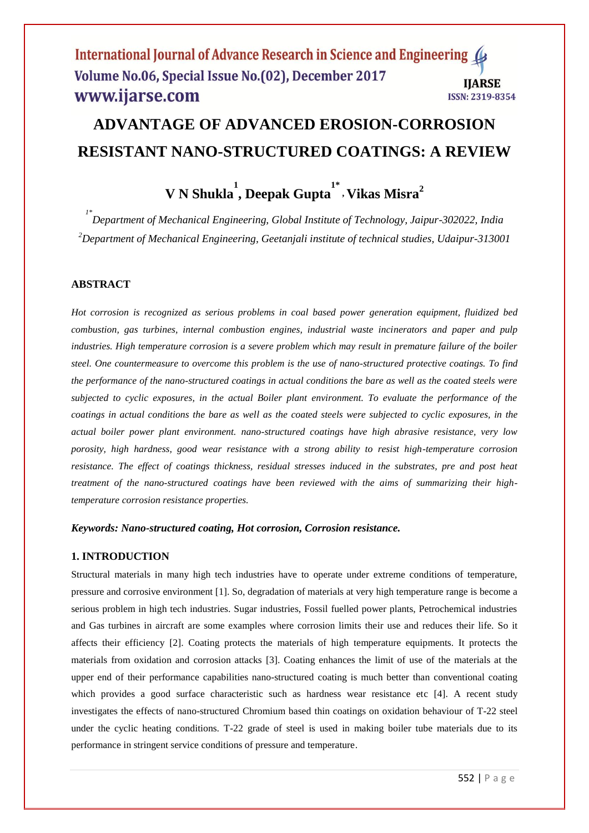## International Journal of Advance Research in Science and Engineering Volume No.06, Special Issue No.(02), December 2017 **IIARSE** www.ijarse.com **ISSN: 2319-8354**

# **ADVANTAGE OF ADVANCED EROSION-CORROSION RESISTANT NANO-STRUCTURED COATINGS: A REVIEW**

**V N Shukla 1 , Deepak Gupta 1\* , Vikas Misra<sup>2</sup>**

*1\* Department of Mechanical Engineering, Global Institute of Technology, Jaipur-302022, India <sup>2</sup>Department of Mechanical Engineering, Geetanjali institute of technical studies, Udaipur-313001*

# **ABSTRACT**

*Hot corrosion is recognized as serious problems in coal based power generation equipment, fluidized bed combustion, gas turbines, internal combustion engines, industrial waste incinerators and paper and pulp industries. High temperature corrosion is a severe problem which may result in premature failure of the boiler steel. One countermeasure to overcome this problem is the use of nano-structured protective coatings. To find the performance of the nano-structured coatings in actual conditions the bare as well as the coated steels were subjected to cyclic exposures, in the actual Boiler plant environment. To evaluate the performance of the coatings in actual conditions the bare as well as the coated steels were subjected to cyclic exposures, in the actual boiler power plant environment. nano-structured coatings have high abrasive resistance, very low porosity, high hardness, good wear resistance with a strong ability to resist high-temperature corrosion resistance. The effect of coatings thickness, residual stresses induced in the substrates, pre and post heat treatment of the nano-structured coatings have been reviewed with the aims of summarizing their hightemperature corrosion resistance properties.* 

#### *Keywords: Nano-structured coating, Hot corrosion, Corrosion resistance.*

# **1. INTRODUCTION**

Structural materials in many high tech industries have to operate under extreme conditions of temperature, pressure and corrosive environment [1]. So, degradation of materials at very high temperature range is become a serious problem in high tech industries. Sugar industries, Fossil fuelled power plants, Petrochemical industries and Gas turbines in aircraft are some examples where corrosion limits their use and reduces their life. So it affects their efficiency [2]. Coating protects the materials of high temperature equipments. It protects the materials from oxidation and corrosion attacks [3]. Coating enhances the limit of use of the materials at the upper end of their performance capabilities nano-structured coating is much better than conventional coating which provides a good surface characteristic such as hardness wear resistance etc [4]. A recent study investigates the effects of nano-structured Chromium based thin coatings on oxidation behaviour of T-22 steel under the cyclic heating conditions. T-22 grade of steel is used in making boiler tube materials due to its performance in stringent service conditions of pressure and temperature.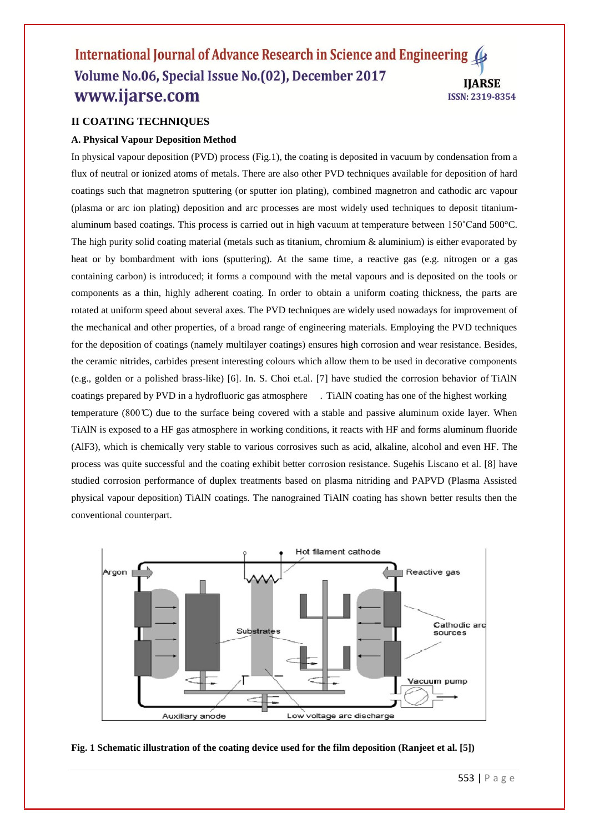#### International Journal of Advance Research in Science and Engineering 4 Volume No.06, Special Issue No.(02), December 2017 **IIARSE** www.ijarse.com **ISSN: 2319-8354**

# **II COATING TECHNIQUES**

## **A. Physical Vapour Deposition Method**

In physical vapour deposition (PVD) process (Fig.1), the coating is deposited in vacuum by condensation from a flux of neutral or ionized atoms of metals. There are also other PVD techniques available for deposition of hard coatings such that magnetron sputtering (or sputter ion plating), combined magnetron and cathodic arc vapour (plasma or arc ion plating) deposition and arc processes are most widely used techniques to deposit titaniumaluminum based coatings. This process is carried out in high vacuum at temperature between 150˚Cand 500°C. The high purity solid coating material (metals such as titanium, chromium & aluminium) is either evaporated by heat or by bombardment with ions (sputtering). At the same time, a reactive gas (e.g. nitrogen or a gas containing carbon) is introduced; it forms a compound with the metal vapours and is deposited on the tools or components as a thin, highly adherent coating. In order to obtain a uniform coating thickness, the parts are rotated at uniform speed about several axes. The PVD techniques are widely used nowadays for improvement of the mechanical and other properties, of a broad range of engineering materials. Employing the PVD techniques for the deposition of coatings (namely multilayer coatings) ensures high corrosion and wear resistance. Besides, the ceramic nitrides, carbides present interesting colours which allow them to be used in decorative components (e.g., golden or a polished brass-like) [6]. In. S. Choi et.al. [7] have studied the corrosion behavior of TiAlN coatings prepared by PVD in a hydrofluoric gas atmosphere . TiAlN coating has one of the highest working temperature (800 $\mathbb{C}$ ) due to the surface being covered with a stable and passive aluminum oxide layer. When TiAlN is exposed to a HF gas atmosphere in working conditions, it reacts with HF and forms aluminum fluoride (AlF3), which is chemically very stable to various corrosives such as acid, alkaline, alcohol and even HF. The process was quite successful and the coating exhibit better corrosion resistance. Sugehis Liscano et al. [8] have studied corrosion performance of duplex treatments based on plasma nitriding and PAPVD (Plasma Assisted physical vapour deposition) TiAlN coatings. The nanograined TiAlN coating has shown better results then the conventional counterpart.



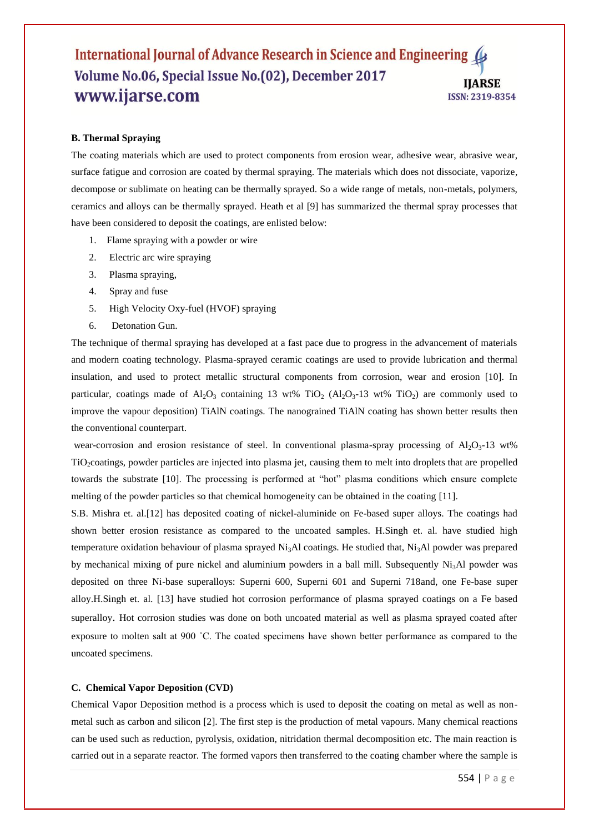#### International Journal of Advance Research in Science and Engineering Volume No.06, Special Issue No.(02), December 2017 **IJARSE** www.ijarse.com **ISSN: 2319-8354**

#### **B. Thermal Spraying**

The coating materials which are used to protect components from erosion wear, adhesive wear, abrasive wear, surface fatigue and corrosion are coated by thermal spraying. The materials which does not dissociate, vaporize, decompose or sublimate on heating can be thermally sprayed. So a wide range of metals, non-metals, polymers, ceramics and alloys can be thermally sprayed. Heath et al [9] has summarized the thermal spray processes that have been considered to deposit the coatings, are enlisted below:

- 1. Flame spraying with a powder or wire
- 2. Electric arc wire spraying
- 3. Plasma spraying,
- 4. Spray and fuse
- 5. High Velocity Oxy-fuel (HVOF) spraying
- 6. Detonation Gun.

The technique of thermal spraying has developed at a fast pace due to progress in the advancement of materials and modern coating technology. Plasma-sprayed ceramic coatings are used to provide lubrication and thermal insulation, and used to protect metallic structural components from corrosion, wear and erosion [10]. In particular, coatings made of  $AI_2O_3$  containing 13 wt% TiO<sub>2</sub> ( $AI_2O_3$ -13 wt% TiO<sub>2</sub>) are commonly used to improve the vapour deposition) TiAlN coatings. The nanograined TiAlN coating has shown better results then the conventional counterpart.

wear-corrosion and erosion resistance of steel. In conventional plasma-spray processing of  $Al_2O_3-13$  wt% TiO2coatings, powder particles are injected into plasma jet, causing them to melt into droplets that are propelled towards the substrate [10]. The processing is performed at "hot" plasma conditions which ensure complete melting of the powder particles so that chemical homogeneity can be obtained in the coating [11].

S.B. Mishra et. al.[12] has deposited coating of nickel-aluminide on Fe-based super alloys. The coatings had shown better erosion resistance as compared to the uncoated samples. H.Singh et. al. have studied high temperature oxidation behaviour of plasma sprayed  $Ni<sub>3</sub>Al$  coatings. He studied that,  $Ni<sub>3</sub>Al$  powder was prepared by mechanical mixing of pure nickel and aluminium powders in a ball mill. Subsequently  $Ni<sub>3</sub>Al$  powder was deposited on three Ni-base superalloys: Superni 600, Superni 601 and Superni 718and, one Fe-base super alloy.H.Singh et. al. [13] have studied hot corrosion performance of plasma sprayed coatings on a Fe based superalloy. Hot corrosion studies was done on both uncoated material as well as plasma sprayed coated after exposure to molten salt at 900 ˚C. The coated specimens have shown better performance as compared to the uncoated specimens.

#### **C. Chemical Vapor Deposition (CVD)**

Chemical Vapor Deposition method is a process which is used to deposit the coating on metal as well as nonmetal such as carbon and silicon [2]. The first step is the production of metal vapours. Many chemical reactions can be used such as reduction, pyrolysis, oxidation, nitridation thermal decomposition etc. The main reaction is carried out in a separate reactor. The formed vapors then transferred to the coating chamber where the sample is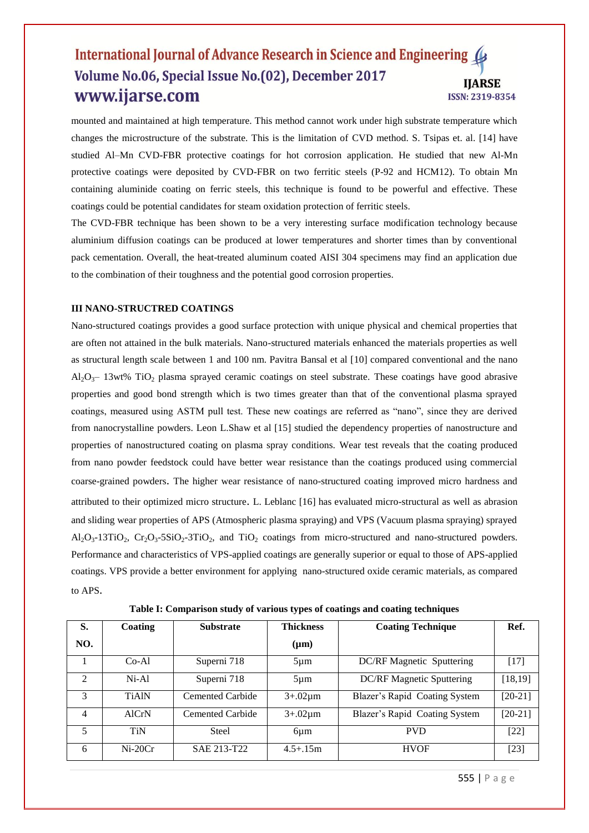# International Journal of Advance Research in Science and Engineering Volume No.06, Special Issue No.(02), December 2017 **IIARSE** www.ijarse.com ISSN: 2319-8354

mounted and maintained at high temperature. This method cannot work under high substrate temperature which changes the microstructure of the substrate. This is the limitation of CVD method. S. Tsipas et. al. [14] have studied Al–Mn CVD-FBR protective coatings for hot corrosion application. He studied that new Al-Mn protective coatings were deposited by CVD-FBR on two ferritic steels (P-92 and HCM12). To obtain Mn containing aluminide coating on ferric steels, this technique is found to be powerful and effective. These coatings could be potential candidates for steam oxidation protection of ferritic steels.

The CVD-FBR technique has been shown to be a very interesting surface modification technology because aluminium diffusion coatings can be produced at lower temperatures and shorter times than by conventional pack cementation. Overall, the heat-treated aluminum coated AISI 304 specimens may find an application due to the combination of their toughness and the potential good corrosion properties.

#### **III NANO-STRUCTRED COATINGS**

Nano-structured coatings provides a good surface protection with unique physical and chemical properties that are often not attained in the bulk materials. Nano-structured materials enhanced the materials properties as well as structural length scale between 1 and 100 nm. Pavitra Bansal et al [10] compared conventional and the nano  $Al_2O_3$ – 13wt% TiO<sub>2</sub> plasma sprayed ceramic coatings on steel substrate. These coatings have good abrasive properties and good bond strength which is two times greater than that of the conventional plasma sprayed coatings, measured using ASTM pull test. These new coatings are referred as "nano", since they are derived from nanocrystalline powders. Leon L.Shaw et al [15] studied the dependency properties of nanostructure and properties of nanostructured coating on plasma spray conditions. Wear test reveals that the coating produced from nano powder feedstock could have better wear resistance than the coatings produced using commercial coarse-grained powders. The higher wear resistance of nano-structured coating improved micro hardness and attributed to their optimized micro structure. L. Leblanc [16] has evaluated micro-structural as well as abrasion and sliding wear properties of APS (Atmospheric plasma spraying) and VPS (Vacuum plasma spraying) sprayed  $Al_2O_3$ -13TiO<sub>2</sub>,  $Cr_2O_3$ -5SiO<sub>2</sub>-3TiO<sub>2</sub>, and TiO<sub>2</sub> coatings from micro-structured and nano-structured powders. Performance and characteristics of VPS-applied coatings are generally superior or equal to those of APS-applied coatings. VPS provide a better environment for applying nano-structured oxide ceramic materials, as compared to APS.

**Table I: Comparison study of various types of coatings and coating techniques**

| S.             | Coating      | <b>Substrate</b> | <b>Thickness</b> | <b>Coating Technique</b>      | Ref.      |
|----------------|--------------|------------------|------------------|-------------------------------|-----------|
| NO.            |              |                  | $(\mu m)$        |                               |           |
|                | Co-Al        | Superni 718      | $5 \mu m$        | DC/RF Magnetic Sputtering     | [17]      |
| $\mathfrak{D}$ | $Ni-A1$      | Superni 718      | $5 \mu m$        | DC/RF Magnetic Sputtering     | [18, 19]  |
| $\mathcal{F}$  | <b>TiAlN</b> | Cemented Carbide | $3+.02 \mu m$    | Blazer's Rapid Coating System | $[20-21]$ |
| 4              | AlCrN        | Cemented Carbide | $3+.02 \mu m$    | Blazer's Rapid Coating System | $[20-21]$ |
| 5              | <b>TiN</b>   | <b>Steel</b>     | 6um              | <b>PVD</b>                    | $[22]$    |
| 6              | $Ni-20Cr$    | SAE 213-T22      | $4.5 + .15m$     | <b>HVOF</b>                   | $[23]$    |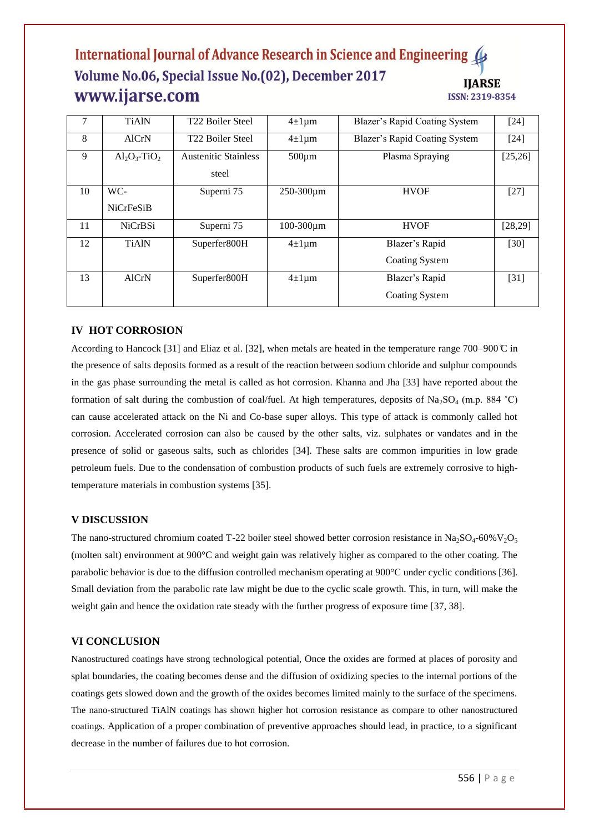# International Journal of Advance Research in Science and Engineering 4 Volume No.06, Special Issue No.(02), December 2017 **IJARSE** www.ijarse.com **ISSN: 2319-8354**

| 7  | <b>TiAlN</b>                | T <sub>22</sub> Boiler Steel | $4\pm1\,\mu m$ | Blazer's Rapid Coating System | $[24]$   |
|----|-----------------------------|------------------------------|----------------|-------------------------------|----------|
| 8  | <b>AlCrN</b>                | T <sub>22</sub> Boiler Steel | $4\pm1\,\mu m$ | Blazer's Rapid Coating System | $[24]$   |
| 9  | $Al_2O_3$ -TiO <sub>2</sub> | <b>Austenitic Stainless</b>  | $500 \mu m$    | Plasma Spraying               | [25, 26] |
|    |                             | steel                        |                |                               |          |
| 10 | WC-                         | Superni 75                   | 250-300µm      | <b>HVOF</b>                   | $[27]$   |
|    | <b>NiCrFeSiB</b>            |                              |                |                               |          |
| 11 | <b>NiCrBSi</b>              | Superni 75                   | 100-300µm      | <b>HVOF</b>                   | [28, 29] |
| 12 | <b>TiAlN</b>                | Superfer800H                 | $4\pm1\,\mu m$ | Blazer's Rapid                | $[30]$   |
|    |                             |                              |                | Coating System                |          |
| 13 | <b>AlCrN</b>                | Superfer800H                 | $4\pm1\,\mu m$ | Blazer's Rapid                | [31]     |
|    |                             |                              |                | <b>Coating System</b>         |          |

## **IV HOT CORROSION**

According to Hancock [31] and Eliaz et al. [32], when metals are heated in the temperature range 700–900  $\degree$  in the presence of salts deposits formed as a result of the reaction between sodium chloride and sulphur compounds in the gas phase surrounding the metal is called as hot corrosion. Khanna and Jha [33] have reported about the formation of salt during the combustion of coal/fuel. At high temperatures, deposits of Na<sub>2</sub>SO<sub>4</sub> (m.p. 884 <sup>°</sup>C) can cause accelerated attack on the Ni and Co-base super alloys. This type of attack is commonly called hot corrosion. Accelerated corrosion can also be caused by the other salts, viz. sulphates or vandates and in the presence of solid or gaseous salts, such as chlorides [34]. These salts are common impurities in low grade petroleum fuels. Due to the condensation of combustion products of such fuels are extremely corrosive to hightemperature materials in combustion systems [35].

#### **V DISCUSSION**

The nano-structured chromium coated T-22 boiler steel showed better corrosion resistance in Na<sub>2</sub>SO<sub>4</sub>-60%V<sub>2</sub>O<sub>5</sub> (molten salt) environment at 900°C and weight gain was relatively higher as compared to the other coating. The parabolic behavior is due to the diffusion controlled mechanism operating at 900°C under cyclic conditions [36]. Small deviation from the parabolic rate law might be due to the cyclic scale growth. This, in turn, will make the weight gain and hence the oxidation rate steady with the further progress of exposure time [37, 38].

#### **VI CONCLUSION**

Nanostructured coatings have strong technological potential, Once the oxides are formed at places of porosity and splat boundaries, the coating becomes dense and the diffusion of oxidizing species to the internal portions of the coatings gets slowed down and the growth of the oxides becomes limited mainly to the surface of the specimens. The nano-structured TiAlN coatings has shown higher hot corrosion resistance as compare to other nanostructured coatings. Application of a proper combination of preventive approaches should lead, in practice, to a significant decrease in the number of failures due to hot corrosion.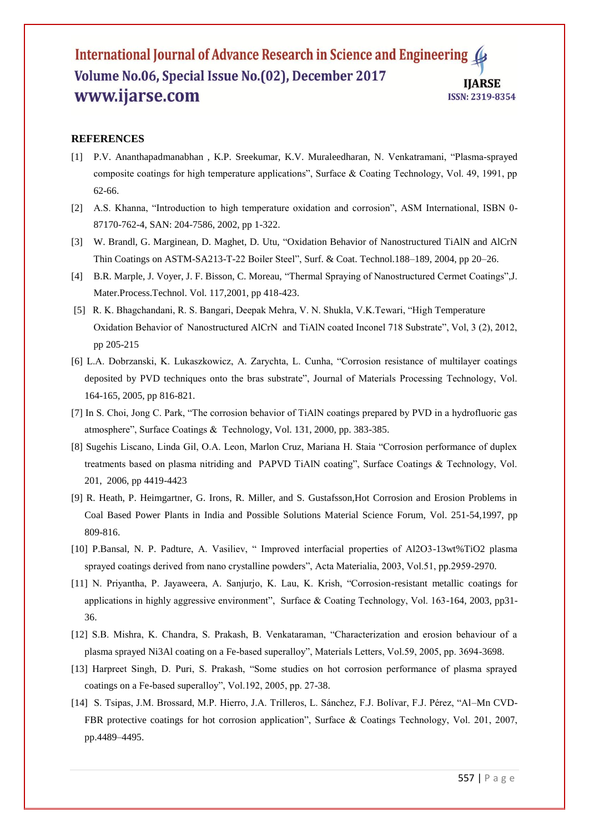## International Journal of Advance Research in Science and Engineering 4 Volume No.06, Special Issue No.(02), December 2017 **IJARSE** www.ijarse.com **ISSN: 2319-8354**

# **REFERENCES**

- [1] P.V. Ananthapadmanabhan , K.P. Sreekumar, K.V. Muraleedharan, N. Venkatramani, "Plasma-sprayed composite coatings for high temperature applications", Surface & Coating Technology, Vol. 49, 1991, pp 62-66.
- [2] A.S. Khanna, "Introduction to high temperature oxidation and corrosion", ASM International, ISBN 0- 87170-762-4, SAN: 204-7586, 2002, pp 1-322.
- [3] W. Brandl, G. Marginean, D. Maghet, D. Utu, "Oxidation Behavior of Nanostructured TiAlN and AlCrN Thin Coatings on ASTM-SA213-T-22 Boiler Steel", Surf. & Coat. Technol.188–189, 2004, pp 20–26.
- [4] B.R. Marple, J. Voyer, J. F. Bisson, C. Moreau, "Thermal Spraying of Nanostructured Cermet Coatings",J. Mater.Process.Technol. Vol. 117,2001, pp 418-423.
- [5] R. K. Bhagchandani, R. S. Bangari, Deepak Mehra, V. N. Shukla, V.K.Tewari, "High Temperature Oxidation Behavior of Nanostructured AlCrN and TiAlN coated Inconel 718 Substrate", Vol, 3 (2), 2012, pp 205-215
- [6] L.A. Dobrzanski, K. Lukaszkowicz, A. Zarychta, L. Cunha, "Corrosion resistance of multilayer coatings deposited by PVD techniques onto the bras substrate", Journal of Materials Processing Technology, Vol. 164-165, 2005, pp 816-821.
- [7] In S. Choi, Jong C. Park, "The corrosion behavior of TiAlN coatings prepared by PVD in a hydrofluoric gas atmosphere", Surface Coatings & Technology, Vol. 131, 2000, pp. 383-385.
- [8] Sugehis Liscano, Linda Gil, O.A. Leon, Marlon Cruz, Mariana H. Staia "Corrosion performance of duplex treatments based on plasma nitriding and PAPVD TiAlN coating", Surface Coatings & Technology, Vol. 201, 2006, pp 4419-4423
- [9] R. Heath, P. Heimgartner, G. Irons, R. Miller, and S. Gustafsson,Hot Corrosion and Erosion Problems in Coal Based Power Plants in India and Possible Solutions Material Science Forum, Vol. 251-54,1997, pp 809-816.
- [10] P.Bansal, N. P. Padture, A. Vasiliev, " Improved interfacial properties of Al2O3-13wt%TiO2 plasma sprayed coatings derived from nano crystalline powders", Acta Materialia, 2003, Vol.51, pp.2959-2970.
- [11] N. Priyantha, P. Jayaweera, A. Sanjurjo, K. Lau, K. Krish, "Corrosion-resistant metallic coatings for applications in highly aggressive environment", Surface & Coating Technology, Vol. 163-164, 2003, pp31- 36.
- [12] S.B. Mishra, K. Chandra, S. Prakash, B. Venkataraman, "Characterization and erosion behaviour of a plasma sprayed Ni3Al coating on a Fe-based superalloy", Materials Letters, Vol.59, 2005, pp. 3694-3698.
- [13] Harpreet Singh, D. Puri, S. Prakash, "Some studies on hot corrosion performance of plasma sprayed coatings on a Fe-based superalloy", Vol.192, 2005, pp. 27-38.
- [14] S. Tsipas, J.M. Brossard, M.P. Hierro, J.A. Trilleros, L. Sánchez, F.J. Bolívar, F.J. Pérez, "Al–Mn CVD-FBR protective coatings for hot corrosion application", Surface & Coatings Technology, Vol. 201, 2007, pp.4489–4495.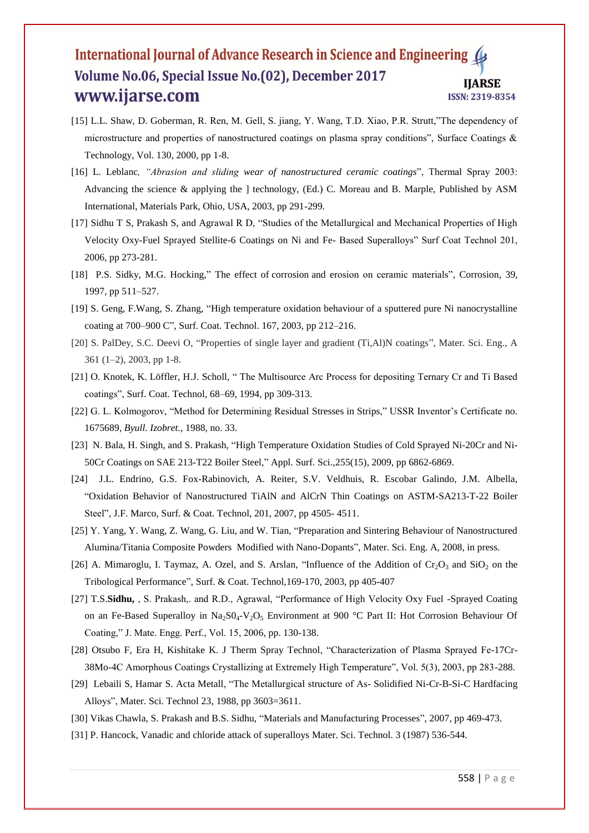## International Journal of Advance Research in Science and Engineering Volume No.06, Special Issue No.(02), December 2017 **IJARSE** www.ijarse.com ISSN: 2319-8354

- [15] L.L. Shaw, D. Goberman, R. Ren, M. Gell, S. jiang, Y. Wang, T.D. Xiao, P.R. Strutt,"The dependency of microstructure and properties of nanostructured coatings on plasma spray conditions", Surface Coatings & Technology, Vol. 130, 2000, pp 1-8.
- [16] L. Leblanc*, "Abrasion and sliding wear of nanostructured ceramic coatings*", Thermal Spray 2003: Advancing the science & applying the ] technology, (Ed.) C. Moreau and B. Marple, Published by ASM International, Materials Park, Ohio, USA, 2003, pp 291-299.
- [17] Sidhu T S, Prakash S, and Agrawal R D, "Studies of the Metallurgical and Mechanical Properties of High Velocity Oxy-Fuel Sprayed Stellite-6 Coatings on Ni and Fe- Based Superalloys" Surf Coat Technol 201, 2006, pp 273-281.
- [18] P.S. Sidky, M.G. Hocking," The effect of corrosion and erosion on ceramic materials", Corrosion, 39, 1997, pp 511–527.
- [19] S. Geng, F.Wang, S. Zhang, "High temperature oxidation behaviour of a sputtered pure Ni nanocrystalline coating at 700–900 C", Surf. Coat. Technol. 167, 2003, pp 212–216.
- [20] S. PalDey, S.C. Deevi O, "Properties of single layer and gradient (Ti,Al)N coatings", Mater. Sci. Eng., A 361 (1–2), 2003, pp 1-8.
- [21] O. Knotek, K. Löffler, H.J. Scholl, " The Multisource Arc Process for depositing Ternary Cr and Ti Based coatings", Surf. Coat. Technol, 68–69, 1994, pp 309-313.
- [22] G. L. Kolmogorov, "Method for Determining Residual Stresses in Strips," USSR Inventor's Certificate no. 1675689, *Byull. Izobret.*, 1988, no. 33.
- [23] N. Bala, H. Singh, and S. Prakash, "High Temperature Oxidation Studies of Cold Sprayed Ni-20Cr and Ni-50Cr Coatings on SAE 213-T22 Boiler Steel," Appl. Surf. Sci.,255(15), 2009, pp 6862-6869.
- [24] J.L. Endrino, G.S. Fox-Rabinovich, A. Reiter, S.V. Veldhuis, R. Escobar Galindo, J.M. Albella, "Oxidation Behavior of Nanostructured TiAlN and AlCrN Thin Coatings on ASTM-SA213-T-22 Boiler Steel", J.F. Marco, Surf. & Coat. Technol, 201, 2007, pp 4505- 4511.
- [25] Y. Yang, Y. Wang, Z. Wang, G. Liu, and W. Tian, "Preparation and Sintering Behaviour of Nanostructured Alumina/Titania Composite Powders Modified with Nano-Dopants", Mater. Sci. Eng. A, 2008, in press.
- [26] A. Mimaroglu, I. Taymaz, A. Ozel, and S. Arslan, "Influence of the Addition of  $Cr_2O_3$  and  $SiO_2$  on the Tribological Performance", Surf. & Coat. Technol,169-170, 2003, pp 405-407
- [27] T.S.**Sidhu,** , S. Prakash,. and R.D., Agrawal, "Performance of High Velocity Oxy Fuel -Sprayed Coating on an Fe-Based Superalloy in Na<sub>2</sub>S0<sub>4</sub>-V<sub>2</sub>O<sub>5</sub> Environment at 900 °C Part II: Hot Corrosion Behaviour Of Coating," J. Mate. Engg. Perf., Vol. 15, 2006, pp. 130-138.
- [28] Otsubo F, Era H, Kishitake K. J Therm Spray Technol, "Characterization of Plasma Sprayed Fe-17Cr-38Mo-4C Amorphous Coatings Crystallizing at Extremely High Temperature", Vol. 5(3), 2003, pp 283-288.
- [29] Lebaili S, Hamar S. Acta Metall, "The Metallurgical structure of As- Solidified Ni-Cr-B-Si-C Hardfacing Alloys", Mater. Sci. Technol 23, 1988, pp 3603=3611.
- [30] Vikas Chawla, S. Prakash and B.S. Sidhu, "Materials and Manufacturing Processes", 2007, pp 469-473.
- [31] P. Hancock, Vanadic and chloride attack of superalloys Mater. Sci. Technol. 3 (1987) 536-544.